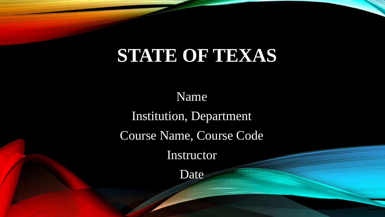## **STATE OF TEXAS**

Name Institution, Department Course Name, Course Code Instructor

Date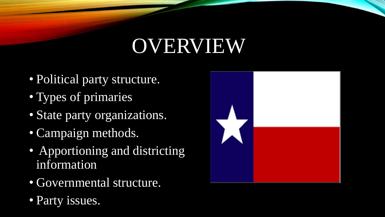# OVERVIEW

- Political party structure.
- Types of primaries
- State party organizations.
- Campaign methods.
- Apportioning and districting information
- Governmental structure.
- Party issues.

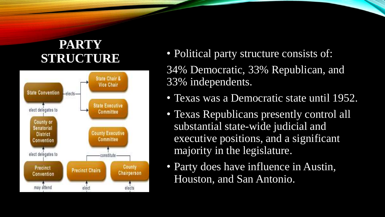# **PARTY**



- **STRUCTURE** Political party structure consists of: 34% Democratic, 33% Republican, and
	- 33% independents.
	- Texas was a Democratic state until 1952.
	- Texas Republicans presently control all substantial state-wide judicial and executive positions, and a significant majority in the legislature.
	- Party does have influence in Austin, Houston, and San Antonio.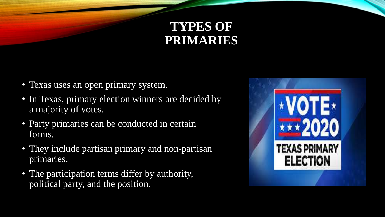#### **TYPES OF PRIMARIES**

- Texas uses an open primary system.
- In Texas, primary election winners are decided by a majority of votes.
- Party primaries can be conducted in certain forms.
- They include partisan primary and non-partisan primaries.
- The participation terms differ by authority, political party, and the position.

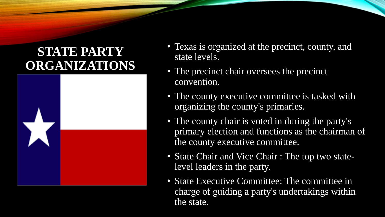#### **STATE PARTY ORGANIZATIONS**



- Texas is organized at the precinct, county, and state levels.
- The precinct chair oversees the precinct convention.
- The county executive committee is tasked with organizing the county's primaries.
- The county chair is voted in during the party's primary election and functions as the chairman of the county executive committee.
- State Chair and Vice Chair : The top two statelevel leaders in the party.
- State Executive Committee: The committee in charge of guiding a party's undertakings within the state.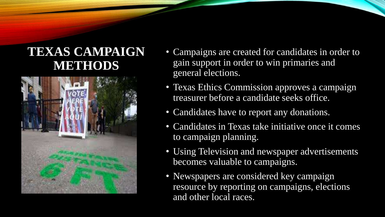#### **TEXAS CAMPAIGN METHODS**



- Campaigns are created for candidates in order to gain support in order to win primaries and general elections.
- Texas Ethics Commission approves a campaign treasurer before a candidate seeks office.
- Candidates have to report any donations.
- Candidates in Texas take initiative once it comes to campaign planning.
- Using Television and newspaper advertisements becomes valuable to campaigns.
- Newspapers are considered key campaign resource by reporting on campaigns, elections and other local races.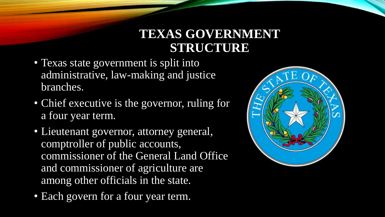#### **TEXAS GOVERNMENT STRUCTURE**

- Texas state government is split into administrative, law-making and justice branches.
- Chief executive is the governor, ruling for a four year term.
- Lieutenant governor, attorney general, comptroller of public accounts, commissioner of the General Land Office and commissioner of agriculture are among other officials in the state.
- Each govern for a four year term.

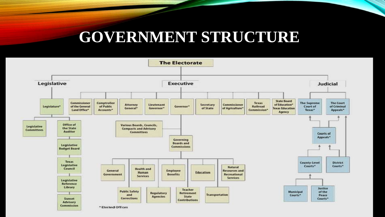## **GOVERNMENT STRUCTURE**

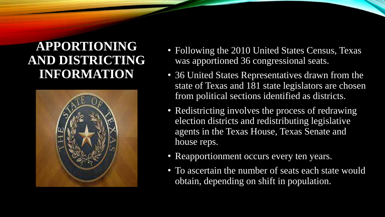#### **APPORTIONING AND DISTRICTING INFORMATION**



- Following the 2010 United States Census, Texas was apportioned 36 congressional seats.
- 36 United States Representatives drawn from the state of Texas and 181 state legislators are chosen from political sections identified as districts.
- Redistricting involves the process of redrawing election districts and redistributing legislative agents in the Texas House, Texas Senate and house reps.
- Reapportionment occurs every ten years.
- To ascertain the number of seats each state would obtain, depending on shift in population.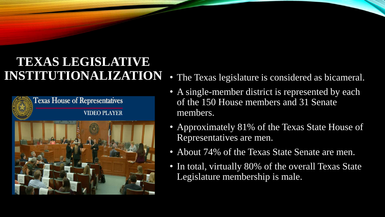#### **TEXAS LEGISLATIVE INSTITUTIONALIZATION** • The Texas legislature is considered as bicameral.



- 
- A single-member district is represented by each of the 150 House members and 31 Senate members.
- Approximately 81% of the Texas State House of Representatives are men.
- About 74% of the Texas State Senate are men.
- In total, virtually 80% of the overall Texas State Legislature membership is male.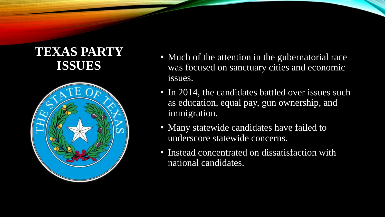#### **TEXAS PARTY ISSUES**



- Much of the attention in the gubernatorial race was focused on sanctuary cities and economic issues.
- In 2014, the candidates battled over issues such as education, equal pay, gun ownership, and immigration.
- Many statewide candidates have failed to underscore statewide concerns.
- Instead concentrated on dissatisfaction with national candidates.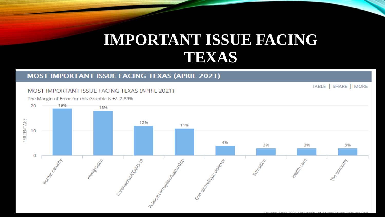### **IMPORTANT ISSUE FACING TEXAS**

#### **MOST IMPORTANT ISSUE FACING TEXAS (APRIL 2021)**

#### MOST IMPORTANT ISSUE FACING TEXAS (APRIL 2021)

TABLE | SHARE | MORE

The Margin of Error for this Graphic is +/- 2.89%